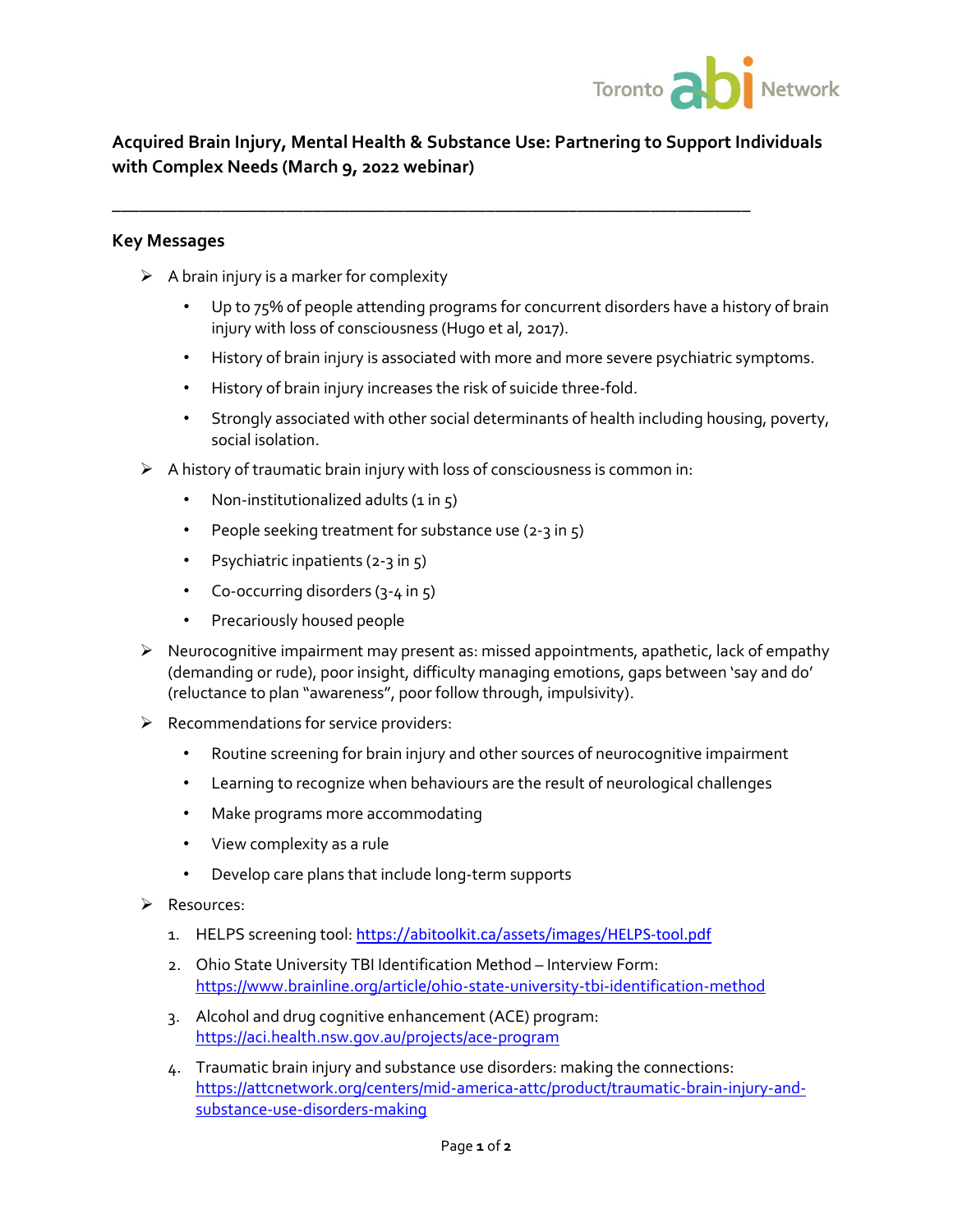

# **Acquired Brain Injury, Mental Health & Substance Use: Partnering to Support Individuals with Complex Needs (March 9, 2022 webinar)**

**\_\_\_\_\_\_\_\_\_\_\_\_\_\_\_\_\_\_\_\_\_\_\_\_\_\_\_\_\_\_\_\_\_\_\_\_\_\_\_\_\_\_\_\_\_\_\_\_\_\_\_\_\_\_\_\_\_\_\_\_\_\_\_\_\_\_\_\_\_\_**

#### **Key Messages**

- $\triangleright$  A brain injury is a marker for complexity
	- Up to 75% of people attending programs for concurrent disorders have a history of brain injury with loss of consciousness (Hugo et al, 2017).
	- History of brain injury is associated with more and more severe psychiatric symptoms.
	- History of brain injury increases the risk of suicide three-fold.
	- Strongly associated with other social determinants of health including housing, poverty, social isolation.
- $\triangleright$  A history of traumatic brain injury with loss of consciousness is common in:
	- Non-institutionalized adults  $(i \text{ in } 5)$
	- People seeking treatment for substance use (2-3 in  $5$ )
	- Psychiatric inpatients (2-3 in 5)
	- Co-occurring disorders (3-4 in 5)
	- Precariously housed people
- $\triangleright$  Neurocognitive impairment may present as: missed appointments, apathetic, lack of empathy (demanding or rude), poor insight, difficulty managing emotions, gaps between 'say and do' (reluctance to plan "awareness", poor follow through, impulsivity).
- $\triangleright$  Recommendations for service providers:
	- Routine screening for brain injury and other sources of neurocognitive impairment
	- Learning to recognize when behaviours are the result of neurological challenges
	- Make programs more accommodating
	- View complexity as a rule
	- Develop care plans that include long-term supports
- ➢ Resources:
	- 1. HELPS screening tool: <https://abitoolkit.ca/assets/images/HELPS-tool.pdf>
	- 2. Ohio State University TBI Identification Method Interview Form: <https://www.brainline.org/article/ohio-state-university-tbi-identification-method>
	- 3. Alcohol and drug cognitive enhancement (ACE) program: <https://aci.health.nsw.gov.au/projects/ace-program>
	- 4. Traumatic brain injury and substance use disorders: making the connections: [https://attcnetwork.org/centers/mid-america-attc/product/traumatic-brain-injury-and](https://attcnetwork.org/centers/mid-america-attc/product/traumatic-brain-injury-and-substance-use-disorders-making)[substance-use-disorders-making](https://attcnetwork.org/centers/mid-america-attc/product/traumatic-brain-injury-and-substance-use-disorders-making)